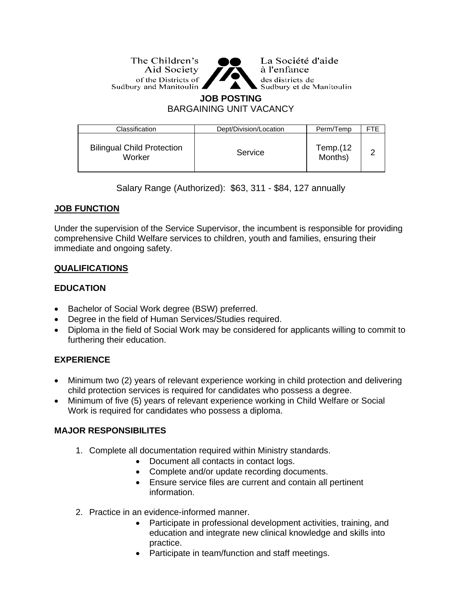The Children's Aid Society of the Districts of Sudbury and Manitoulin ▲



La Société d'aide à l'enfance des districts de Sudbury et de Manitoulin

#### **JOB POSTING**

BARGAINING UNIT VACANCY

| Classification                              | Dept/Division/Location | Perm/Temp           |  |
|---------------------------------------------|------------------------|---------------------|--|
| <b>Bilingual Child Protection</b><br>Worker | Service                | Temp.(12<br>Months) |  |

Salary Range (Authorized): \$63, 311 - \$84, 127 annually

### **JOB FUNCTION**

Under the supervision of the Service Supervisor, the incumbent is responsible for providing comprehensive Child Welfare services to children, youth and families, ensuring their immediate and ongoing safety.

### **QUALIFICATIONS**

### **EDUCATION**

- Bachelor of Social Work degree (BSW) preferred.
- Degree in the field of Human Services/Studies required.
- Diploma in the field of Social Work may be considered for applicants willing to commit to furthering their education.

### **EXPERIENCE**

- Minimum two (2) years of relevant experience working in child protection and delivering child protection services is required for candidates who possess a degree.
- Minimum of five (5) years of relevant experience working in Child Welfare or Social Work is required for candidates who possess a diploma.

### **MAJOR RESPONSIBILITES**

- 1. Complete all documentation required within Ministry standards.
	- Document all contacts in contact logs.
	- Complete and/or update recording documents.
	- Ensure service files are current and contain all pertinent information.
- 2. Practice in an evidence-informed manner.
	- Participate in professional development activities, training, and education and integrate new clinical knowledge and skills into practice.
	- Participate in team/function and staff meetings.